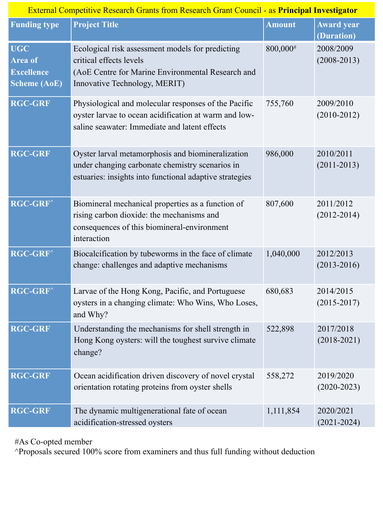| <b>Funding type</b>                                               | <b>Project Title</b>                                                                                                                                              | <b>Amount</b> | <b>Award</b> year<br>(Duration) |
|-------------------------------------------------------------------|-------------------------------------------------------------------------------------------------------------------------------------------------------------------|---------------|---------------------------------|
| <b>UGC</b><br>Area of<br><b>Excellence</b><br><b>Scheme (AoE)</b> | Ecological risk assessment models for predicting<br>critical effects levels<br>(AoE Centre for Marine Environmental Research and<br>Innovative Technology, MERIT) | 800,000#      | 2008/2009<br>$(2008 - 2013)$    |
| <b>RGC-GRF</b>                                                    | Physiological and molecular responses of the Pacific<br>oyster larvae to ocean acidification at warm and low-<br>saline seawater: Immediate and latent effects    | 755,760       | 2009/2010<br>$(2010-2012)$      |
| <b>RGC-GRF</b>                                                    | Oyster larval metamorphosis and biomineralization<br>under changing carbonate chemistry scenarios in<br>estuaries: insights into functional adaptive strategies   | 986,000       | 2010/2011<br>$(2011 - 2013)$    |
| <b>RGC-GRF</b> ^                                                  | Biomineral mechanical properties as a function of<br>rising carbon dioxide: the mechanisms and<br>consequences of this biomineral-environment<br>interaction      | 807,600       | 2011/2012<br>$(2012 - 2014)$    |
| <b>RGC-GRF</b> ^                                                  | Biocalcification by tubeworms in the face of climate<br>change: challenges and adaptive mechanisms                                                                | 1,040,000     | 2012/2013<br>$(2013 - 2016)$    |
| <b>RGC-GRF</b> ^                                                  | Larvae of the Hong Kong, Pacific, and Portuguese<br>oysters in a changing climate: Who Wins, Who Loses,<br>and Why?                                               | 680,683       | 2014/2015<br>$(2015 - 2017)$    |
| <b>RGC-GRF</b>                                                    | Understanding the mechanisms for shell strength in<br>Hong Kong oysters: will the toughest survive climate<br>change?                                             | 522,898       | 2017/2018<br>$(2018 - 2021)$    |
| <b>RGC-GRF</b>                                                    | Ocean acidification driven discovery of novel crystal<br>orientation rotating proteins from oyster shells                                                         | 558,272       | 2019/2020<br>$(2020-2023)$      |
| <b>RGC-GRF</b>                                                    | The dynamic multigenerational fate of ocean<br>acidification-stressed oysters                                                                                     | 1,111,854     | 2020/2021<br>$(2021 - 2024)$    |

#As Co-opted member

^Proposals secured 100% score from examiners and thus full funding without deduction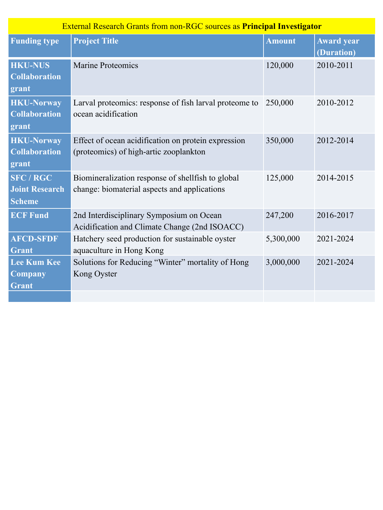| <b>External Research Grants from non-RGC sources as Principal Investigator</b> |                                                                                                   |               |                                 |  |  |
|--------------------------------------------------------------------------------|---------------------------------------------------------------------------------------------------|---------------|---------------------------------|--|--|
| <b>Funding type</b>                                                            | <b>Project Title</b>                                                                              | <b>Amount</b> | <b>Award year</b><br>(Duration) |  |  |
| <b>HKU-NUS</b><br><b>Collaboration</b><br>grant                                | <b>Marine Proteomics</b>                                                                          | 120,000       | 2010-2011                       |  |  |
| <b>HKU-Norway</b><br><b>Collaboration</b><br>grant                             | Larval proteomics: response of fish larval proteome to<br>ocean acidification                     | 250,000       | 2010-2012                       |  |  |
| <b>HKU-Norway</b><br><b>Collaboration</b><br>grant                             | Effect of ocean acidification on protein expression<br>(proteomics) of high-artic zooplankton     | 350,000       | 2012-2014                       |  |  |
| <b>SFC/RGC</b><br><b>Joint Research</b><br><b>Scheme</b>                       | Biomineralization response of shellfish to global<br>change: biomaterial aspects and applications | 125,000       | 2014-2015                       |  |  |
| <b>ECF Fund</b>                                                                | 2nd Interdisciplinary Symposium on Ocean<br>Acidification and Climate Change (2nd ISOACC)         | 247,200       | 2016-2017                       |  |  |
| <b>AFCD-SFDF</b><br>Grant                                                      | Hatchery seed production for sustainable oyster<br>aquaculture in Hong Kong                       | 5,300,000     | 2021-2024                       |  |  |
| <b>Lee Kum Kee</b><br>Company<br><b>Grant</b>                                  | Solutions for Reducing "Winter" mortality of Hong<br>Kong Oyster                                  | 3,000,000     | 2021-2024                       |  |  |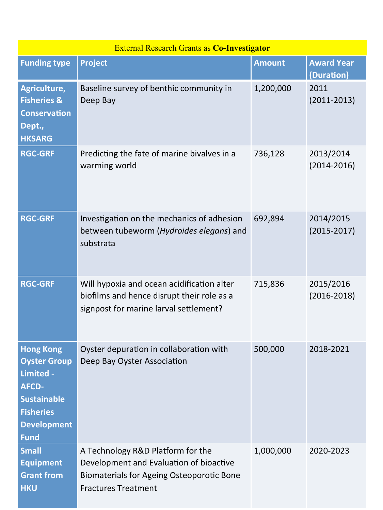| <b>External Research Grants as Co-Investigator</b>                                                                                                  |                                                                                                                                                                |           |                                 |  |  |
|-----------------------------------------------------------------------------------------------------------------------------------------------------|----------------------------------------------------------------------------------------------------------------------------------------------------------------|-----------|---------------------------------|--|--|
| <b>Funding type</b>                                                                                                                                 | <b>Project</b>                                                                                                                                                 | Amount    | <b>Award Year</b><br>(Duration) |  |  |
| Agriculture,<br><b>Fisheries &amp;</b><br><b>Conservation</b><br>Dept.,<br><b>HKSARG</b>                                                            | Baseline survey of benthic community in<br>Deep Bay                                                                                                            | 1,200,000 | 2011<br>$(2011 - 2013)$         |  |  |
| <b>RGC-GRF</b>                                                                                                                                      | Predicting the fate of marine bivalves in a<br>warming world                                                                                                   | 736,128   | 2013/2014<br>$(2014 - 2016)$    |  |  |
| <b>RGC-GRF</b>                                                                                                                                      | Investigation on the mechanics of adhesion<br>between tubeworm (Hydroides elegans) and<br>substrata                                                            | 692,894   | 2014/2015<br>$(2015 - 2017)$    |  |  |
| <b>RGC-GRF</b>                                                                                                                                      | Will hypoxia and ocean acidification alter<br>biofilms and hence disrupt their role as a<br>signpost for marine larval settlement?                             | 715,836   | 2015/2016<br>$(2016 - 2018)$    |  |  |
| <b>Hong Kong</b><br><b>Oyster Group</b><br>Limited -<br><b>AFCD-</b><br><b>Sustainable</b><br><b>Fisheries</b><br><b>Development</b><br><b>Fund</b> | Oyster depuration in collaboration with<br>Deep Bay Oyster Association                                                                                         | 500,000   | 2018-2021                       |  |  |
| <b>Small</b><br><b>Equipment</b><br><b>Grant from</b><br><b>HKU</b>                                                                                 | A Technology R&D Platform for the<br>Development and Evaluation of bioactive<br><b>Biomaterials for Ageing Osteoporotic Bone</b><br><b>Fractures Treatment</b> | 1,000,000 | 2020-2023                       |  |  |